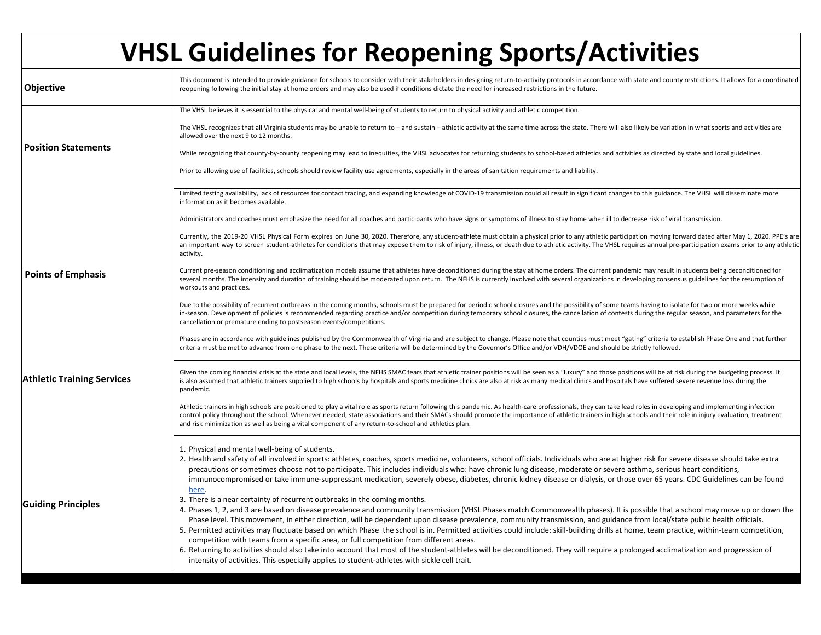| <b>VHSL Guidelines for Reopening Sports/Activities</b> |                                                                                                                                                                                                                                                                                                                                                                                                                                                                                                                                                                                                                                                                                                                                |  |  |
|--------------------------------------------------------|--------------------------------------------------------------------------------------------------------------------------------------------------------------------------------------------------------------------------------------------------------------------------------------------------------------------------------------------------------------------------------------------------------------------------------------------------------------------------------------------------------------------------------------------------------------------------------------------------------------------------------------------------------------------------------------------------------------------------------|--|--|
| Objective                                              | This document is intended to provide guidance for schools to consider with their stakeholders in designing return-to-activity protocols in accordance with state and county restrictions. It allows for a coordinated<br>reopening following the initial stay at home orders and may also be used if conditions dictate the need for increased restrictions in the future.                                                                                                                                                                                                                                                                                                                                                     |  |  |
|                                                        | The VHSL believes it is essential to the physical and mental well-being of students to return to physical activity and athletic competition.                                                                                                                                                                                                                                                                                                                                                                                                                                                                                                                                                                                   |  |  |
|                                                        | The VHSL recognizes that all Virginia students may be unable to return to - and sustain - athletic activity at the same time across the state. There will also likely be variation in what sports and activities are<br>allowed over the next 9 to 12 months.                                                                                                                                                                                                                                                                                                                                                                                                                                                                  |  |  |
| <b>Position Statements</b>                             | While recognizing that county-by-county reopening may lead to inequities, the VHSL advocates for returning students to school-based athletics and activities as directed by state and local guidelines.                                                                                                                                                                                                                                                                                                                                                                                                                                                                                                                        |  |  |
|                                                        | Prior to allowing use of facilities, schools should review facility use agreements, especially in the areas of sanitation requirements and liability.                                                                                                                                                                                                                                                                                                                                                                                                                                                                                                                                                                          |  |  |
|                                                        | Limited testing availability, lack of resources for contact tracing, and expanding knowledge of COVID-19 transmission could all result in significant changes to this guidance. The VHSL will disseminate more<br>information as it becomes available.                                                                                                                                                                                                                                                                                                                                                                                                                                                                         |  |  |
|                                                        | Administrators and coaches must emphasize the need for all coaches and participants who have signs or symptoms of illness to stay home when ill to decrease risk of viral transmission.                                                                                                                                                                                                                                                                                                                                                                                                                                                                                                                                        |  |  |
|                                                        | Currently, the 2019-20 VHSL Physical Form expires on June 30, 2020. Therefore, any student-athlete must obtain a physical prior to any athletic participation moving forward dated after May 1, 2020. PPE's are<br>an important way to screen student-athletes for conditions that may expose them to risk of injury, illness, or death due to athletic activity. The VHSL requires annual pre-participation exams prior to any athletic<br>activity.                                                                                                                                                                                                                                                                          |  |  |
| <b>Points of Emphasis</b>                              | Current pre-season conditioning and acclimatization models assume that athletes have deconditioned during the stay at home orders. The current pandemic may result in students being deconditioned for<br>several months. The intensity and duration of training should be moderated upon return. The NFHS is currently involved with several organizations in developing consensus guidelines for the resumption of<br>workouts and practices.                                                                                                                                                                                                                                                                                |  |  |
|                                                        | Due to the possibility of recurrent outbreaks in the coming months, schools must be prepared for periodic school closures and the possibility of some teams having to isolate for two or more weeks while<br>in-season. Development of policies is recommended regarding practice and/or competition during temporary school closures, the cancellation of contests during the regular season, and parameters for the<br>cancellation or premature ending to postseason events/competitions.                                                                                                                                                                                                                                   |  |  |
|                                                        | Phases are in accordance with guidelines published by the Commonwealth of Virginia and are subject to change. Please note that counties must meet "gating" criteria to establish Phase One and that further<br>criteria must be met to advance from one phase to the next. These criteria will be determined by the Governor's Office and/or VDH/VDOE and should be strictly followed.                                                                                                                                                                                                                                                                                                                                         |  |  |
| <b>Athletic Training Services</b>                      | Given the coming financial crisis at the state and local levels, the NFHS SMAC fears that athletic trainer positions will be seen as a "luxury" and those positions will be at risk during the budgeting process. It<br>is also assumed that athletic trainers supplied to high schools by hospitals and sports medicine clinics are also at risk as many medical clinics and hospitals have suffered severe revenue loss during the<br>pandemic.                                                                                                                                                                                                                                                                              |  |  |
|                                                        | Athletic trainers in high schools are positioned to play a vital role as sports return following this pandemic. As health-care professionals, they can take lead roles in developing and implementing infection<br>control policy throughout the school. Whenever needed, state associations and their SMACs should promote the importance of athletic trainers in high schools and their role in injury evaluation, treatment<br>and risk minimization as well as being a vital component of any return-to-school and athletics plan.                                                                                                                                                                                         |  |  |
|                                                        | 1. Physical and mental well-being of students.<br>2. Health and safety of all involved in sports: athletes, coaches, sports medicine, volunteers, school officials. Individuals who are at higher risk for severe disease should take extra                                                                                                                                                                                                                                                                                                                                                                                                                                                                                    |  |  |
|                                                        | precautions or sometimes choose not to participate. This includes individuals who: have chronic lung disease, moderate or severe asthma, serious heart conditions,<br>immunocompromised or take immune-suppressant medication, severely obese, diabetes, chronic kidney disease or dialysis, or those over 65 years. CDC Guidelines can be found<br>here.                                                                                                                                                                                                                                                                                                                                                                      |  |  |
| <b>Guiding Principles</b>                              | 3. There is a near certainty of recurrent outbreaks in the coming months.<br>4. Phases 1, 2, and 3 are based on disease prevalence and community transmission (VHSL Phases match Commonwealth phases). It is possible that a school may move up or down the<br>Phase level. This movement, in either direction, will be dependent upon disease prevalence, community transmission, and guidance from local/state public health officials.<br>5. Permitted activities may fluctuate based on which Phase the school is in. Permitted activities could include: skill-building drills at home, team practice, within-team competition,<br>competition with teams from a specific area, or full competition from different areas. |  |  |
|                                                        | 6. Returning to activities should also take into account that most of the student-athletes will be deconditioned. They will require a prolonged acclimatization and progression of<br>intensity of activities. This especially applies to student-athletes with sickle cell trait.                                                                                                                                                                                                                                                                                                                                                                                                                                             |  |  |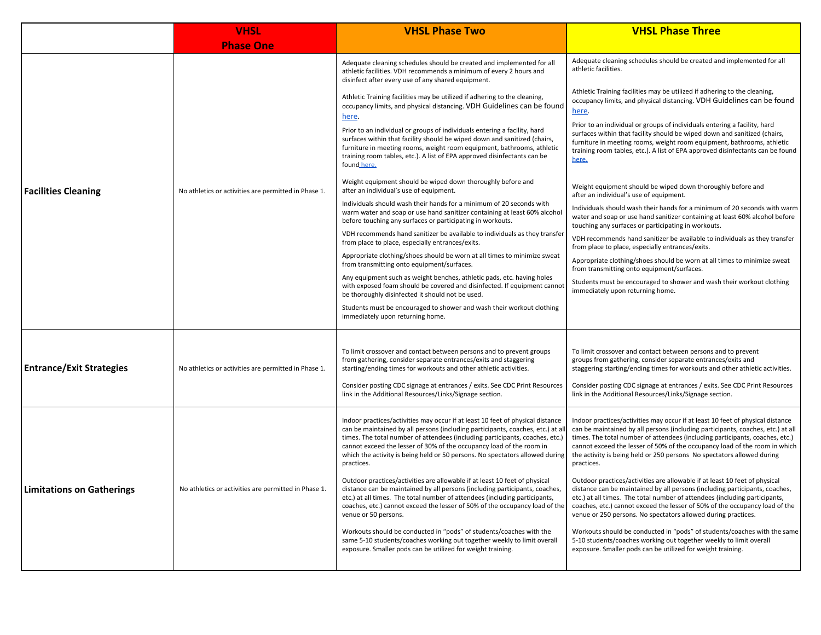|                                 | <b>VHSL</b>                                          | <b>VHSL Phase Two</b>                                                                                                                                                                                                                                                                                                                                                                                                   | <b>VHSL Phase Three</b>                                                                                                                                                                                                                                                                                                                                                                                                 |
|---------------------------------|------------------------------------------------------|-------------------------------------------------------------------------------------------------------------------------------------------------------------------------------------------------------------------------------------------------------------------------------------------------------------------------------------------------------------------------------------------------------------------------|-------------------------------------------------------------------------------------------------------------------------------------------------------------------------------------------------------------------------------------------------------------------------------------------------------------------------------------------------------------------------------------------------------------------------|
|                                 | <b>Phase One</b>                                     |                                                                                                                                                                                                                                                                                                                                                                                                                         |                                                                                                                                                                                                                                                                                                                                                                                                                         |
|                                 | No athletics or activities are permitted in Phase 1. | Adequate cleaning schedules should be created and implemented for all<br>athletic facilities. VDH recommends a minimum of every 2 hours and<br>disinfect after every use of any shared equipment.                                                                                                                                                                                                                       | Adequate cleaning schedules should be created and implemented for all<br>athletic facilities.                                                                                                                                                                                                                                                                                                                           |
|                                 |                                                      | Athletic Training facilities may be utilized if adhering to the cleaning,<br>occupancy limits, and physical distancing. VDH Guidelines can be found<br>here.                                                                                                                                                                                                                                                            | Athletic Training facilities may be utilized if adhering to the cleaning,<br>occupancy limits, and physical distancing. VDH Guidelines can be found<br>here.                                                                                                                                                                                                                                                            |
|                                 |                                                      | Prior to an individual or groups of individuals entering a facility, hard<br>surfaces within that facility should be wiped down and sanitized (chairs,<br>furniture in meeting rooms, weight room equipment, bathrooms, athletic<br>training room tables, etc.). A list of EPA approved disinfectants can be<br>found here.                                                                                             | Prior to an individual or groups of individuals entering a facility, hard<br>surfaces within that facility should be wiped down and sanitized (chairs,<br>furniture in meeting rooms, weight room equipment, bathrooms, athletic<br>training room tables, etc.). A list of EPA approved disinfectants can be found<br>here.                                                                                             |
| <b>Facilities Cleaning</b>      |                                                      | Weight equipment should be wiped down thoroughly before and<br>after an individual's use of equipment.                                                                                                                                                                                                                                                                                                                  | Weight equipment should be wiped down thoroughly before and<br>after an individual's use of equipment.                                                                                                                                                                                                                                                                                                                  |
|                                 |                                                      | Individuals should wash their hands for a minimum of 20 seconds with<br>warm water and soap or use hand sanitizer containing at least 60% alcohol<br>before touching any surfaces or participating in workouts.                                                                                                                                                                                                         | Individuals should wash their hands for a minimum of 20 seconds with warm<br>water and soap or use hand sanitizer containing at least 60% alcohol before<br>touching any surfaces or participating in workouts.                                                                                                                                                                                                         |
|                                 |                                                      | VDH recommends hand sanitizer be available to individuals as they transfer<br>from place to place, especially entrances/exits.                                                                                                                                                                                                                                                                                          | VDH recommends hand sanitizer be available to individuals as they transfer<br>from place to place, especially entrances/exits.                                                                                                                                                                                                                                                                                          |
|                                 |                                                      | Appropriate clothing/shoes should be worn at all times to minimize sweat<br>from transmitting onto equipment/surfaces.                                                                                                                                                                                                                                                                                                  | Appropriate clothing/shoes should be worn at all times to minimize sweat<br>from transmitting onto equipment/surfaces.                                                                                                                                                                                                                                                                                                  |
|                                 |                                                      | Any equipment such as weight benches, athletic pads, etc. having holes<br>with exposed foam should be covered and disinfected. If equipment cannot<br>be thoroughly disinfected it should not be used.                                                                                                                                                                                                                  | Students must be encouraged to shower and wash their workout clothing<br>immediately upon returning home.                                                                                                                                                                                                                                                                                                               |
|                                 |                                                      | Students must be encouraged to shower and wash their workout clothing<br>immediately upon returning home.                                                                                                                                                                                                                                                                                                               |                                                                                                                                                                                                                                                                                                                                                                                                                         |
|                                 | No athletics or activities are permitted in Phase 1. |                                                                                                                                                                                                                                                                                                                                                                                                                         |                                                                                                                                                                                                                                                                                                                                                                                                                         |
| <b>Entrance/Exit Strategies</b> |                                                      | To limit crossover and contact between persons and to prevent groups<br>from gathering, consider separate entrances/exits and staggering<br>starting/ending times for workouts and other athletic activities.                                                                                                                                                                                                           | To limit crossover and contact between persons and to prevent<br>groups from gathering, consider separate entrances/exits and<br>staggering starting/ending times for workouts and other athletic activities.                                                                                                                                                                                                           |
|                                 |                                                      | Consider posting CDC signage at entrances / exits. See CDC Print Resources<br>link in the Additional Resources/Links/Signage section.                                                                                                                                                                                                                                                                                   | Consider posting CDC signage at entrances / exits. See CDC Print Resources<br>link in the Additional Resources/Links/Signage section.                                                                                                                                                                                                                                                                                   |
| Limitations on Gatherings       | No athletics or activities are permitted in Phase 1. | Indoor practices/activities may occur if at least 10 feet of physical distance<br>can be maintained by all persons (including participants, coaches, etc.) at all<br>times. The total number of attendees (including participants, coaches, etc.)<br>cannot exceed the lesser of 30% of the occupancy load of the room in<br>which the activity is being held or 50 persons. No spectators allowed during<br>practices. | Indoor practices/activities may occur if at least 10 feet of physical distance<br>can be maintained by all persons (including participants, coaches, etc.) at all<br>times. The total number of attendees (including participants, coaches, etc.)<br>cannot exceed the lesser of 50% of the occupancy load of the room in which<br>the activity is being held or 250 persons No spectators allowed during<br>practices. |
|                                 |                                                      | Outdoor practices/activities are allowable if at least 10 feet of physical<br>distance can be maintained by all persons (including participants, coaches,<br>etc.) at all times. The total number of attendees (including participants,<br>coaches, etc.) cannot exceed the lesser of 50% of the occupancy load of the<br>venue or 50 persons.                                                                          | Outdoor practices/activities are allowable if at least 10 feet of physical<br>distance can be maintained by all persons (including participants, coaches,<br>etc.) at all times. The total number of attendees (including participants,<br>coaches, etc.) cannot exceed the lesser of 50% of the occupancy load of the<br>venue or 250 persons. No spectators allowed during practices.                                 |
|                                 |                                                      | Workouts should be conducted in "pods" of students/coaches with the<br>same 5-10 students/coaches working out together weekly to limit overall<br>exposure. Smaller pods can be utilized for weight training.                                                                                                                                                                                                           | Workouts should be conducted in "pods" of students/coaches with the same<br>5-10 students/coaches working out together weekly to limit overall<br>exposure. Smaller pods can be utilized for weight training.                                                                                                                                                                                                           |
|                                 |                                                      |                                                                                                                                                                                                                                                                                                                                                                                                                         |                                                                                                                                                                                                                                                                                                                                                                                                                         |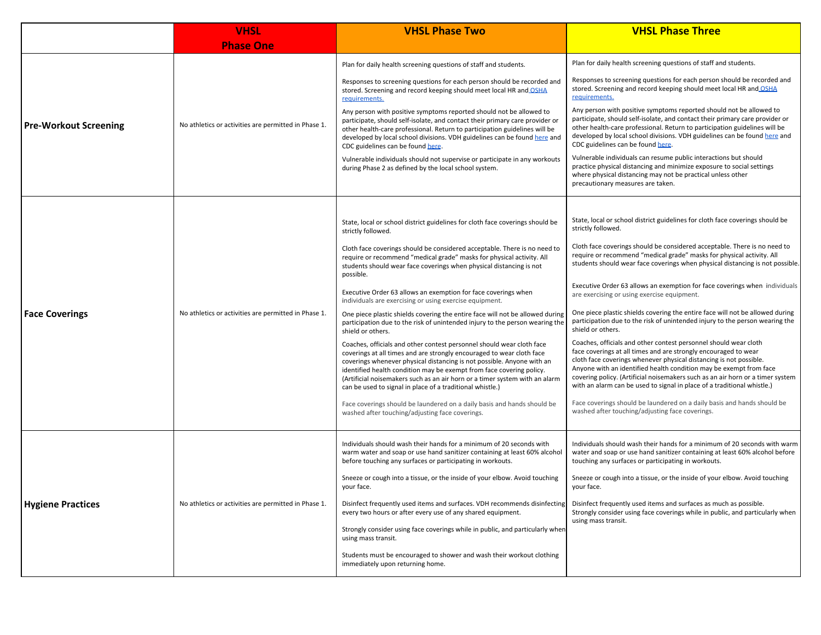|                              | <b>VHSL</b>                                          | <b>VHSL Phase Two</b>                                                                                                                                                                                                                                                                                                                                                                                                                        | <b>VHSL Phase Three</b>                                                                                                                                                                                                                                                                                                                                                                                                                      |
|------------------------------|------------------------------------------------------|----------------------------------------------------------------------------------------------------------------------------------------------------------------------------------------------------------------------------------------------------------------------------------------------------------------------------------------------------------------------------------------------------------------------------------------------|----------------------------------------------------------------------------------------------------------------------------------------------------------------------------------------------------------------------------------------------------------------------------------------------------------------------------------------------------------------------------------------------------------------------------------------------|
|                              | <b>Phase One</b>                                     |                                                                                                                                                                                                                                                                                                                                                                                                                                              |                                                                                                                                                                                                                                                                                                                                                                                                                                              |
| <b>Pre-Workout Screening</b> | No athletics or activities are permitted in Phase 1. | Plan for daily health screening questions of staff and students.                                                                                                                                                                                                                                                                                                                                                                             | Plan for daily health screening questions of staff and students.                                                                                                                                                                                                                                                                                                                                                                             |
|                              |                                                      | Responses to screening questions for each person should be recorded and<br>stored. Screening and record keeping should meet local HR and OSHA<br>requirements.                                                                                                                                                                                                                                                                               | Responses to screening questions for each person should be recorded and<br>stored. Screening and record keeping should meet local HR and OSHA<br>requirements.                                                                                                                                                                                                                                                                               |
|                              |                                                      | Any person with positive symptoms reported should not be allowed to<br>participate, should self-isolate, and contact their primary care provider or<br>other health-care professional. Return to participation guidelines will be<br>developed by local school divisions. VDH guidelines can be found here and<br>CDC guidelines can be found here.                                                                                          | Any person with positive symptoms reported should not be allowed to<br>participate, should self-isolate, and contact their primary care provider or<br>other health-care professional. Return to participation guidelines will be<br>developed by local school divisions. VDH guidelines can be found here and<br>CDC guidelines can be found here.                                                                                          |
|                              |                                                      | Vulnerable individuals should not supervise or participate in any workouts<br>during Phase 2 as defined by the local school system.                                                                                                                                                                                                                                                                                                          | Vulnerable individuals can resume public interactions but should<br>practice physical distancing and minimize exposure to social settings<br>where physical distancing may not be practical unless other<br>precautionary measures are taken.                                                                                                                                                                                                |
|                              |                                                      |                                                                                                                                                                                                                                                                                                                                                                                                                                              |                                                                                                                                                                                                                                                                                                                                                                                                                                              |
|                              | No athletics or activities are permitted in Phase 1. | State, local or school district guidelines for cloth face coverings should be<br>strictly followed.                                                                                                                                                                                                                                                                                                                                          | State, local or school district guidelines for cloth face coverings should be<br>strictly followed.                                                                                                                                                                                                                                                                                                                                          |
| <b>Face Coverings</b>        |                                                      | Cloth face coverings should be considered acceptable. There is no need to<br>require or recommend "medical grade" masks for physical activity. All<br>students should wear face coverings when physical distancing is not<br>possible.                                                                                                                                                                                                       | Cloth face coverings should be considered acceptable. There is no need to<br>require or recommend "medical grade" masks for physical activity. All<br>students should wear face coverings when physical distancing is not possible.                                                                                                                                                                                                          |
|                              |                                                      | Executive Order 63 allows an exemption for face coverings when<br>individuals are exercising or using exercise equipment.                                                                                                                                                                                                                                                                                                                    | Executive Order 63 allows an exemption for face coverings when individuals<br>are exercising or using exercise equipment.                                                                                                                                                                                                                                                                                                                    |
|                              |                                                      | One piece plastic shields covering the entire face will not be allowed during<br>participation due to the risk of unintended injury to the person wearing the<br>shield or others.                                                                                                                                                                                                                                                           | One piece plastic shields covering the entire face will not be allowed during<br>participation due to the risk of unintended injury to the person wearing the<br>shield or others.                                                                                                                                                                                                                                                           |
|                              |                                                      | Coaches, officials and other contest personnel should wear cloth face<br>coverings at all times and are strongly encouraged to wear cloth face<br>coverings whenever physical distancing is not possible. Anyone with an<br>identified health condition may be exempt from face covering policy.<br>(Artificial noisemakers such as an air horn or a timer system with an alarm<br>can be used to signal in place of a traditional whistle.) | Coaches, officials and other contest personnel should wear cloth<br>face coverings at all times and are strongly encouraged to wear<br>cloth face coverings whenever physical distancing is not possible.<br>Anyone with an identified health condition may be exempt from face<br>covering policy. (Artificial noisemakers such as an air horn or a timer system<br>with an alarm can be used to signal in place of a traditional whistle.) |
|                              |                                                      | Face coverings should be laundered on a daily basis and hands should be<br>washed after touching/adjusting face coverings.                                                                                                                                                                                                                                                                                                                   | Face coverings should be laundered on a daily basis and hands should be<br>washed after touching/adjusting face coverings.                                                                                                                                                                                                                                                                                                                   |
| <b>Hygiene Practices</b>     | No athletics or activities are permitted in Phase 1. | Individuals should wash their hands for a minimum of 20 seconds with<br>warm water and soap or use hand sanitizer containing at least 60% alcohol<br>before touching any surfaces or participating in workouts.                                                                                                                                                                                                                              | Individuals should wash their hands for a minimum of 20 seconds with warm<br>water and soap or use hand sanitizer containing at least 60% alcohol before<br>touching any surfaces or participating in workouts.                                                                                                                                                                                                                              |
|                              |                                                      | Sneeze or cough into a tissue, or the inside of your elbow. Avoid touching<br>your face.                                                                                                                                                                                                                                                                                                                                                     | Sneeze or cough into a tissue, or the inside of your elbow. Avoid touching<br>your face.                                                                                                                                                                                                                                                                                                                                                     |
|                              |                                                      | Disinfect frequently used items and surfaces. VDH recommends disinfecting<br>every two hours or after every use of any shared equipment.                                                                                                                                                                                                                                                                                                     | Disinfect frequently used items and surfaces as much as possible.<br>Strongly consider using face coverings while in public, and particularly when<br>using mass transit.                                                                                                                                                                                                                                                                    |
|                              |                                                      | Strongly consider using face coverings while in public, and particularly wher<br>using mass transit.                                                                                                                                                                                                                                                                                                                                         |                                                                                                                                                                                                                                                                                                                                                                                                                                              |
|                              |                                                      | Students must be encouraged to shower and wash their workout clothing<br>immediately upon returning home.                                                                                                                                                                                                                                                                                                                                    |                                                                                                                                                                                                                                                                                                                                                                                                                                              |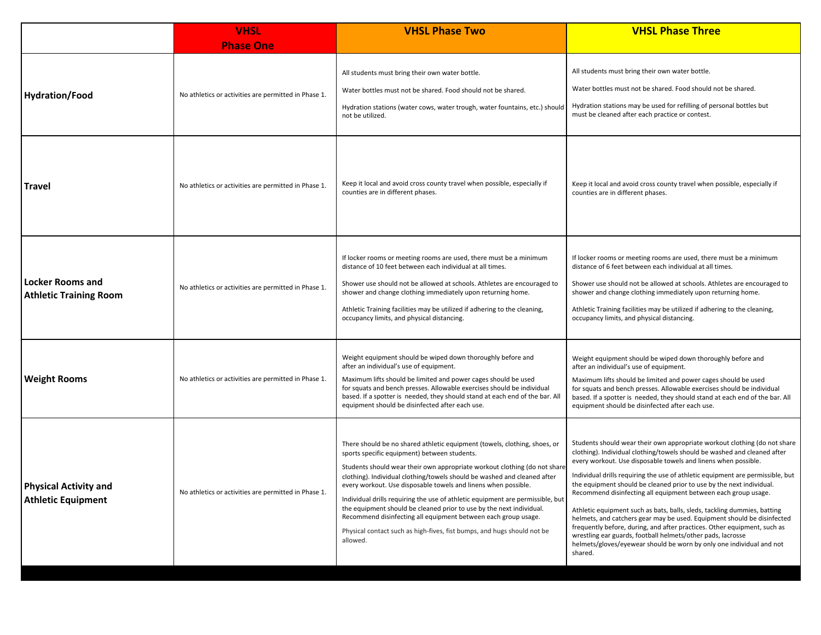|                                                           | <b>VHSL</b>                                          | <b>VHSL Phase Two</b>                                                                                                                                                                                                                                                                                                                                                                                                                                                                                                                                                                                                                                                   | <b>VHSL Phase Three</b>                                                                                                                                                                                                                                                                                                                                                                                                                                                                                                                                                                                                                                                                                                                                                                                                                  |
|-----------------------------------------------------------|------------------------------------------------------|-------------------------------------------------------------------------------------------------------------------------------------------------------------------------------------------------------------------------------------------------------------------------------------------------------------------------------------------------------------------------------------------------------------------------------------------------------------------------------------------------------------------------------------------------------------------------------------------------------------------------------------------------------------------------|------------------------------------------------------------------------------------------------------------------------------------------------------------------------------------------------------------------------------------------------------------------------------------------------------------------------------------------------------------------------------------------------------------------------------------------------------------------------------------------------------------------------------------------------------------------------------------------------------------------------------------------------------------------------------------------------------------------------------------------------------------------------------------------------------------------------------------------|
|                                                           | <b>Phase One</b>                                     |                                                                                                                                                                                                                                                                                                                                                                                                                                                                                                                                                                                                                                                                         |                                                                                                                                                                                                                                                                                                                                                                                                                                                                                                                                                                                                                                                                                                                                                                                                                                          |
| <b>Hydration/Food</b>                                     | No athletics or activities are permitted in Phase 1. | All students must bring their own water bottle.<br>Water bottles must not be shared. Food should not be shared.<br>Hydration stations (water cows, water trough, water fountains, etc.) should<br>not be utilized.                                                                                                                                                                                                                                                                                                                                                                                                                                                      | All students must bring their own water bottle.<br>Water bottles must not be shared. Food should not be shared.<br>Hydration stations may be used for refilling of personal bottles but<br>must be cleaned after each practice or contest.                                                                                                                                                                                                                                                                                                                                                                                                                                                                                                                                                                                               |
| <b>Travel</b>                                             | No athletics or activities are permitted in Phase 1. | Keep it local and avoid cross county travel when possible, especially if<br>counties are in different phases.                                                                                                                                                                                                                                                                                                                                                                                                                                                                                                                                                           | Keep it local and avoid cross county travel when possible, especially if<br>counties are in different phases.                                                                                                                                                                                                                                                                                                                                                                                                                                                                                                                                                                                                                                                                                                                            |
| <b>Locker Rooms and</b><br><b>Athletic Training Room</b>  | No athletics or activities are permitted in Phase 1. | If locker rooms or meeting rooms are used, there must be a minimum<br>distance of 10 feet between each individual at all times.<br>Shower use should not be allowed at schools. Athletes are encouraged to<br>shower and change clothing immediately upon returning home.<br>Athletic Training facilities may be utilized if adhering to the cleaning,<br>occupancy limits, and physical distancing.                                                                                                                                                                                                                                                                    | If locker rooms or meeting rooms are used, there must be a minimum<br>distance of 6 feet between each individual at all times.<br>Shower use should not be allowed at schools. Athletes are encouraged to<br>shower and change clothing immediately upon returning home.<br>Athletic Training facilities may be utilized if adhering to the cleaning,<br>occupancy limits, and physical distancing.                                                                                                                                                                                                                                                                                                                                                                                                                                      |
| <b>Weight Rooms</b>                                       | No athletics or activities are permitted in Phase 1. | Weight equipment should be wiped down thoroughly before and<br>after an individual's use of equipment.<br>Maximum lifts should be limited and power cages should be used<br>for squats and bench presses. Allowable exercises should be individual<br>based. If a spotter is needed, they should stand at each end of the bar. All<br>equipment should be disinfected after each use.                                                                                                                                                                                                                                                                                   | Weight equipment should be wiped down thoroughly before and<br>after an individual's use of equipment.<br>Maximum lifts should be limited and power cages should be used<br>for squats and bench presses. Allowable exercises should be individual<br>based. If a spotter is needed, they should stand at each end of the bar. All<br>equipment should be disinfected after each use.                                                                                                                                                                                                                                                                                                                                                                                                                                                    |
| <b>Physical Activity and</b><br><b>Athletic Equipment</b> | No athletics or activities are permitted in Phase 1. | There should be no shared athletic equipment (towels, clothing, shoes, or<br>sports specific equipment) between students.<br>Students should wear their own appropriate workout clothing (do not share<br>clothing). Individual clothing/towels should be washed and cleaned after<br>every workout. Use disposable towels and linens when possible.<br>Individual drills requiring the use of athletic equipment are permissible, but<br>the equipment should be cleaned prior to use by the next individual.<br>Recommend disinfecting all equipment between each group usage.<br>Physical contact such as high-fives, fist bumps, and hugs should not be<br>allowed. | Students should wear their own appropriate workout clothing (do not share<br>clothing). Individual clothing/towels should be washed and cleaned after<br>every workout. Use disposable towels and linens when possible.<br>Individual drills requiring the use of athletic equipment are permissible, but<br>the equipment should be cleaned prior to use by the next individual.<br>Recommend disinfecting all equipment between each group usage.<br>Athletic equipment such as bats, balls, sleds, tackling dummies, batting<br>helmets, and catchers gear may be used. Equipment should be disinfected<br>frequently before, during, and after practices. Other equipment, such as<br>wrestling ear guards, football helmets/other pads, lacrosse<br>helmets/gloves/eyewear should be worn by only one individual and not<br>shared. |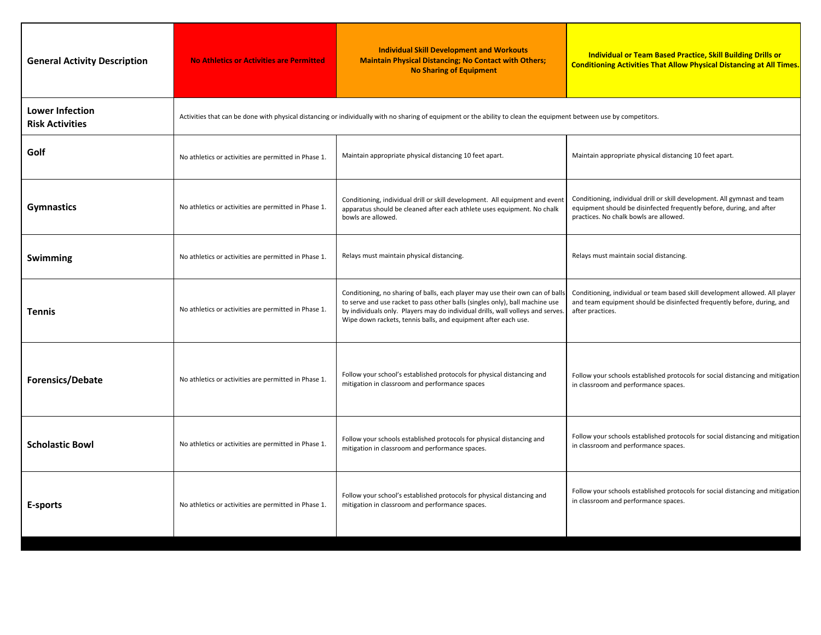| <b>General Activity Description</b>              | <b>No Athletics or Activities are Permitted</b>                                                                                                                     | <b>Individual Skill Development and Workouts</b><br><b>Maintain Physical Distancing; No Contact with Others;</b><br><b>No Sharing of Equipment</b>                                                                                                                                                                 | Individual or Team Based Practice, Skill Building Drills or<br><b>Conditioning Activities That Allow Physical Distancing at All Times.</b>                                                  |
|--------------------------------------------------|---------------------------------------------------------------------------------------------------------------------------------------------------------------------|--------------------------------------------------------------------------------------------------------------------------------------------------------------------------------------------------------------------------------------------------------------------------------------------------------------------|---------------------------------------------------------------------------------------------------------------------------------------------------------------------------------------------|
| <b>Lower Infection</b><br><b>Risk Activities</b> | Activities that can be done with physical distancing or individually with no sharing of equipment or the ability to clean the equipment between use by competitors. |                                                                                                                                                                                                                                                                                                                    |                                                                                                                                                                                             |
| Golf                                             | No athletics or activities are permitted in Phase 1.                                                                                                                | Maintain appropriate physical distancing 10 feet apart.                                                                                                                                                                                                                                                            | Maintain appropriate physical distancing 10 feet apart.                                                                                                                                     |
| <b>Gymnastics</b>                                | No athletics or activities are permitted in Phase 1.                                                                                                                | Conditioning, individual drill or skill development. All equipment and event<br>apparatus should be cleaned after each athlete uses equipment. No chalk<br>bowls are allowed.                                                                                                                                      | Conditioning, individual drill or skill development. All gymnast and team<br>equipment should be disinfected frequently before, during, and after<br>practices. No chalk bowls are allowed. |
| Swimming                                         | No athletics or activities are permitted in Phase 1.                                                                                                                | Relays must maintain physical distancing.                                                                                                                                                                                                                                                                          | Relays must maintain social distancing.                                                                                                                                                     |
| <b>Tennis</b>                                    | No athletics or activities are permitted in Phase 1.                                                                                                                | Conditioning, no sharing of balls, each player may use their own can of balls<br>to serve and use racket to pass other balls (singles only), ball machine use<br>by individuals only. Players may do individual drills, wall volleys and serves.<br>Wipe down rackets, tennis balls, and equipment after each use. | Conditioning, individual or team based skill development allowed. All player<br>and team equipment should be disinfected frequently before, during, and<br>after practices.                 |
| <b>Forensics/Debate</b>                          | No athletics or activities are permitted in Phase 1.                                                                                                                | Follow your school's established protocols for physical distancing and<br>mitigation in classroom and performance spaces                                                                                                                                                                                           | Follow your schools established protocols for social distancing and mitigation<br>in classroom and performance spaces.                                                                      |
| <b>Scholastic Bowl</b>                           | No athletics or activities are permitted in Phase 1.                                                                                                                | Follow your schools established protocols for physical distancing and<br>mitigation in classroom and performance spaces.                                                                                                                                                                                           | Follow your schools established protocols for social distancing and mitigation<br>in classroom and performance spaces.                                                                      |
| E-sports                                         | No athletics or activities are permitted in Phase 1.                                                                                                                | Follow your school's established protocols for physical distancing and<br>mitigation in classroom and performance spaces.                                                                                                                                                                                          | Follow your schools established protocols for social distancing and mitigation<br>in classroom and performance spaces.                                                                      |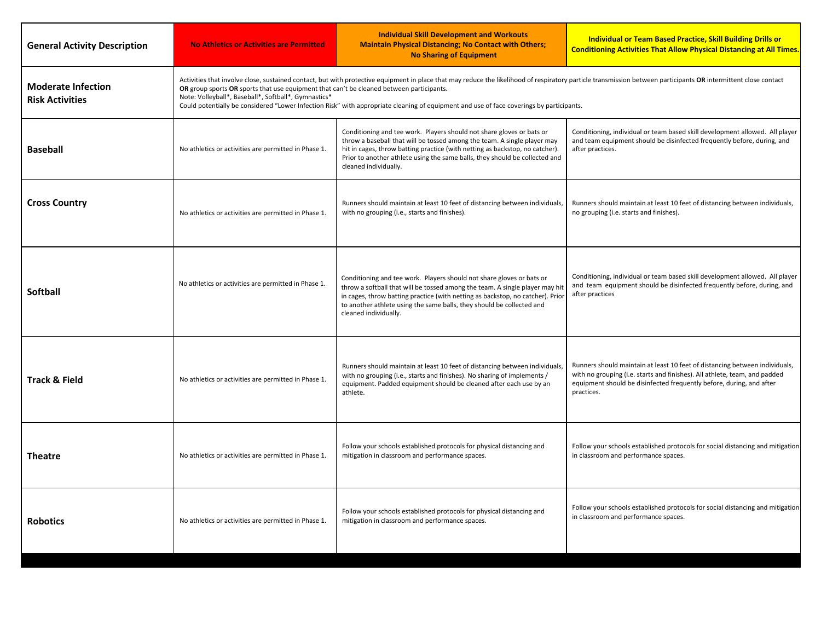| <b>General Activity Description</b>                 | <b>No Athletics or Activities are Permitted</b>                                                                                                                                                                                                                                                                                                                                                                                                                                                                 | <b>Individual Skill Development and Workouts</b><br><b>Maintain Physical Distancing; No Contact with Others;</b><br><b>No Sharing of Equipment</b>                                                                                                                                                                                        | Individual or Team Based Practice, Skill Building Drills or<br><b>Conditioning Activities That Allow Physical Distancing at All Times.</b>                                                                                                      |
|-----------------------------------------------------|-----------------------------------------------------------------------------------------------------------------------------------------------------------------------------------------------------------------------------------------------------------------------------------------------------------------------------------------------------------------------------------------------------------------------------------------------------------------------------------------------------------------|-------------------------------------------------------------------------------------------------------------------------------------------------------------------------------------------------------------------------------------------------------------------------------------------------------------------------------------------|-------------------------------------------------------------------------------------------------------------------------------------------------------------------------------------------------------------------------------------------------|
| <b>Moderate Infection</b><br><b>Risk Activities</b> | Activities that involve close, sustained contact, but with protective equipment in place that may reduce the likelihood of respiratory particle transmission between participants OR intermittent close contact<br>OR group sports OR sports that use equipment that can't be cleaned between participants.<br>Note: Volleyball*, Baseball*, Softball*, Gymnastics*<br>Could potentially be considered "Lower Infection Risk" with appropriate cleaning of equipment and use of face coverings by participants. |                                                                                                                                                                                                                                                                                                                                           |                                                                                                                                                                                                                                                 |
| <b>Baseball</b>                                     | No athletics or activities are permitted in Phase 1.                                                                                                                                                                                                                                                                                                                                                                                                                                                            | Conditioning and tee work. Players should not share gloves or bats or<br>throw a baseball that will be tossed among the team. A single player may<br>hit in cages, throw batting practice (with netting as backstop, no catcher).<br>Prior to another athlete using the same balls, they should be collected and<br>cleaned individually. | Conditioning, individual or team based skill development allowed. All player<br>and team equipment should be disinfected frequently before, during, and<br>after practices.                                                                     |
| <b>Cross Country</b>                                | No athletics or activities are permitted in Phase 1.                                                                                                                                                                                                                                                                                                                                                                                                                                                            | Runners should maintain at least 10 feet of distancing between individuals,<br>with no grouping (i.e., starts and finishes).                                                                                                                                                                                                              | Runners should maintain at least 10 feet of distancing between individuals,<br>no grouping (i.e. starts and finishes).                                                                                                                          |
| <b>Softball</b>                                     | No athletics or activities are permitted in Phase 1.                                                                                                                                                                                                                                                                                                                                                                                                                                                            | Conditioning and tee work. Players should not share gloves or bats or<br>throw a softball that will be tossed among the team. A single player may hit<br>in cages, throw batting practice (with netting as backstop, no catcher). Prior<br>to another athlete using the same balls, they should be collected and<br>cleaned individually. | Conditioning, individual or team based skill development allowed. All player<br>and team equipment should be disinfected frequently before, during, and<br>after practices                                                                      |
| <b>Track &amp; Field</b>                            | No athletics or activities are permitted in Phase 1.                                                                                                                                                                                                                                                                                                                                                                                                                                                            | Runners should maintain at least 10 feet of distancing between individuals,<br>with no grouping (i.e., starts and finishes). No sharing of implements /<br>equipment. Padded equipment should be cleaned after each use by an<br>athlete.                                                                                                 | Runners should maintain at least 10 feet of distancing between individuals,<br>with no grouping (i.e. starts and finishes). All athlete, team, and padded<br>equipment should be disinfected frequently before, during, and after<br>practices. |
| <b>Theatre</b>                                      | No athletics or activities are permitted in Phase 1.                                                                                                                                                                                                                                                                                                                                                                                                                                                            | Follow your schools established protocols for physical distancing and<br>mitigation in classroom and performance spaces.                                                                                                                                                                                                                  | Follow your schools established protocols for social distancing and mitigation<br>in classroom and performance spaces.                                                                                                                          |
| <b>Robotics</b>                                     | No athletics or activities are permitted in Phase 1.                                                                                                                                                                                                                                                                                                                                                                                                                                                            | Follow your schools established protocols for physical distancing and<br>mitigation in classroom and performance spaces.                                                                                                                                                                                                                  | Follow your schools established protocols for social distancing and mitigation<br>in classroom and performance spaces.                                                                                                                          |